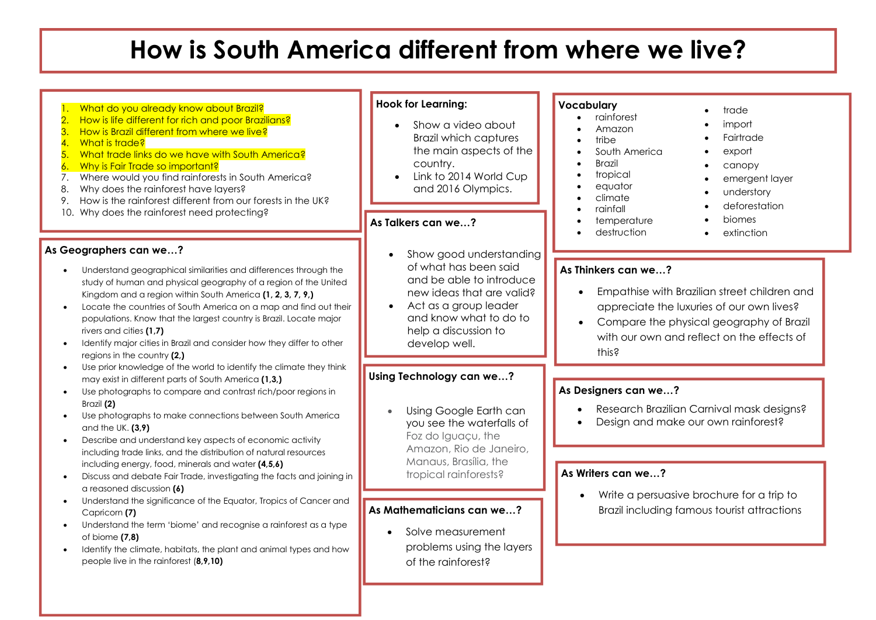# **How is South America different from where we live?**

| What do you already know about Brazil?<br>$\overline{2}$<br>How is life different for rich and poor Brazilians?<br>3.<br>How is Brazil different from where we live?<br>$\overline{4}$<br>What is trade?<br>What trade links do we have with South America?<br>5.<br>Why is Fair Trade so important?<br>6.<br>Where would you find rainforests in South America?<br>7.<br>Why does the rainforest have layers?<br>8.<br>How is the rainforest different from our forests in the UK?<br>9.<br>10. Why does the rainforest need protecting?                                                  | <b>Hook for Learning:</b><br>Show a video about<br><b>Brazil which captures</b><br>the main aspects of the<br>country.<br>Link to 2014 World Cup<br>and 2016 Olympics.<br>As Talkers can we?                       | Vocabulary<br>trade<br>rainforest<br>import<br>Amazon<br>Fairtrade<br>tribe<br>South America<br>export<br><b>Brazil</b><br>$\bullet$<br>canopy<br>tropical<br>emergent layer<br>equator<br>understory<br>climate<br>deforestation<br>rainfall<br>biomes<br>temperature<br>destruction<br>extinction |
|--------------------------------------------------------------------------------------------------------------------------------------------------------------------------------------------------------------------------------------------------------------------------------------------------------------------------------------------------------------------------------------------------------------------------------------------------------------------------------------------------------------------------------------------------------------------------------------------|--------------------------------------------------------------------------------------------------------------------------------------------------------------------------------------------------------------------|-----------------------------------------------------------------------------------------------------------------------------------------------------------------------------------------------------------------------------------------------------------------------------------------------------|
| As Geographers can we?<br>Understand geographical similarities and differences through the<br>study of human and physical geography of a region of the United<br>Kingdom and a region within South America (1, 2, 3, 7, 9,)<br>Locate the countries of South America on a map and find out their<br>populations. Know that the largest country is Brazil. Locate major<br>rivers and cities (1,7)<br>Identify major cities in Brazil and consider how they differ to other<br>regions in the country (2,)                                                                                  | Show good understanding<br>of what has been said<br>and be able to introduce<br>new ideas that are valid?<br>Act as a group leader<br>$\bullet$<br>and know what to do to<br>help a discussion to<br>develop well. | As Thinkers can we?<br>Empathise with Brazilian street children and<br>appreciate the luxuries of our own lives?<br>Compare the physical geography of Brazil<br>with our own and reflect on the effects of<br>this?                                                                                 |
| Use prior knowledge of the world to identify the climate they think<br>may exist in different parts of South America (1,3,)<br>Use photographs to compare and contrast rich/poor regions in<br>Brazil (2)<br>Use photographs to make connections between South America<br>and the UK. $(3, 9)$<br>Describe and understand key aspects of economic activity<br>including trade links, and the distribution of natural resources<br>including energy, food, minerals and water (4,5,6)<br>Discuss and debate Fair Trade, investigating the facts and joining in<br>a reasoned discussion (6) | Using Technology can we?<br>Using Google Earth can<br>you see the waterfalls of<br>Foz do Iguaçu, the<br>Amazon, Rio de Janeiro,<br>Manaus, Brasília, the<br>tropical rainforests?                                 | As Designers can we?<br>Research Brazilian Carnival mask designs?<br>Design and make our own rainforest?<br>As Writers can we?<br>Write a persuasive brochure for a trip to                                                                                                                         |
| Understand the significance of the Equator, Tropics of Cancer and<br>Capricorn (7)<br>Understand the term 'biome' and recognise a rainforest as a type<br>of biome $(7,8)$<br>Identify the climate, habitats, the plant and animal types and how<br>people live in the rainforest (8,9,10)                                                                                                                                                                                                                                                                                                 | As Mathematicians can we?<br>Solve measurement<br>problems using the layers<br>of the rainforest?                                                                                                                  | Brazil including famous tourist attractions                                                                                                                                                                                                                                                         |